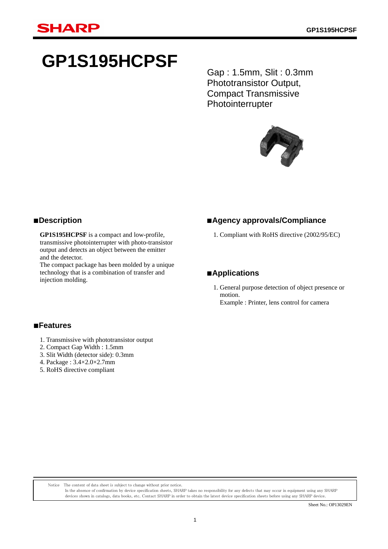# **GP1S195HCPSF**

Gap : 1.5mm, Slit : 0.3mm Phototransistor Output, Compact Transmissive Photointerrupter



## ■**Description**

 **GP1S195HCPSF** is a compact and low-profile, transmissive photointerrupter with photo-transistor output and detects an object between the emitter and the detector.

 The compact package has been molded by a unique technology that is a combination of transfer and injection molding.

## ■**Agency approvals/Compliance**

1. Compliant with RoHS directive (2002/95/EC)

## ■**Applications**

1. General purpose detection of object presence or motion. Example : Printer, lens control for camera

## ■**Features**

- 1. Transmissive with phototransistor output
- 2. Compact Gap Width : 1.5mm
- 3. Slit Width (detector side): 0.3mm
- 4. Package : 3.4×2.0×2.7mm
- 5. RoHS directive compliant

Notice The content of data sheet is subject to change without prior notice.

In the absence of confirmation by device specification sheets, SHARP takes no responsibility for any defects that may occur in equipment using any SHARP devices shown in catalogs, data books, etc. Contact SHARP in order to obtain the latest device specification sheets before using any SHARP device.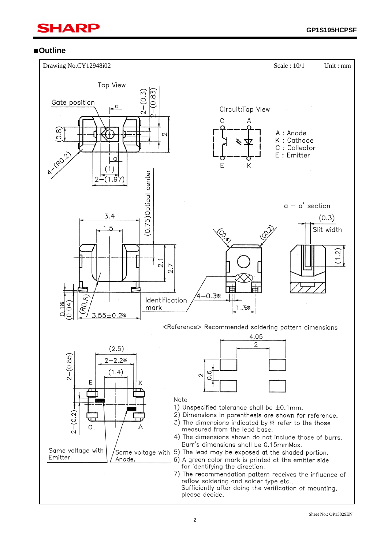## **SHARP** í

## ■**Outline**

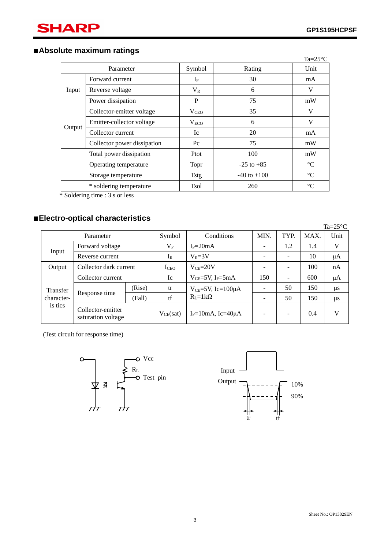## ■**Absolute maximum ratings**

|        |                             |                  |                 | $Ta=25^{\circ}C$ |
|--------|-----------------------------|------------------|-----------------|------------------|
|        | Parameter                   | Symbol           | Rating          | Unit             |
|        | Forward current             | $I_{\rm F}$      | 30              | mA               |
| Input  | Reverse voltage             | $V_{R}$          | 6               | V                |
|        | Power dissipation           | P                | 75              | mW               |
|        | Collector-emitter voltage   | $V_{CEO}$        | 35              | V                |
|        | Emitter-collector voltage   | V <sub>ECO</sub> | 6               | V                |
| Output | Collector current           | Ic               | 20              | mA               |
|        | Collector power dissipation | $P_{\rm C}$      | 75              | mW               |
|        | Total power dissipation     | Ptot             | 100             | mW               |
|        | Operating temperature       | <b>Topr</b>      | $-25$ to $+85$  | $\rm ^{\circ}C$  |
|        | Storage temperature         | <b>Tstg</b>      | $-40$ to $+100$ | $\rm ^{\circ}C$  |
|        | * soldering temperature     | <b>Tsol</b>      | 260             | $\rm ^{\circ}C$  |

\* Soldering time : 3 s or less

## ■**Electro-optical characteristics**

|            |                                         |        |                  |                                   |      |      |      | $Ta = 25^{\circ}C$ |
|------------|-----------------------------------------|--------|------------------|-----------------------------------|------|------|------|--------------------|
|            | Parameter                               |        | Symbol           | Conditions                        | MIN. | TYP. | MAX. | Unit               |
|            | Forward voltage                         |        | $\rm V_F$        | $IF=20mA$                         |      | 1.2  | 1.4  | V                  |
| Input      | Reverse current                         |        | $I_{R}$          | $V_R = 3V$                        |      |      | 10   | $\mu A$            |
| Output     | Collector dark current                  |        | I <sub>CEO</sub> | $V_{CF} = 20V$                    |      |      | 100  | nA                 |
|            | Collector current                       |        | Ic               | $V_{CE}$ =5V, I <sub>F</sub> =5mA | 150  |      | 600  | $\mu A$            |
| Transfer   |                                         | (Rise) | tr               | $V_{CE}=5V$ , Ic=100 $\mu$ A      |      | 50   | 150  | μs                 |
| character- | Response time                           | (Fall) | tf               | $R_I = 1k\Omega$                  |      | 50   | 150  | μs                 |
| is tics    | Collector-emitter<br>saturation voltage |        | $V_{CE}(sat)$    | $I_F=10$ mA, Ic=40 $\mu$ A        |      |      | 0.4  | V                  |

(Test circuit for response time)



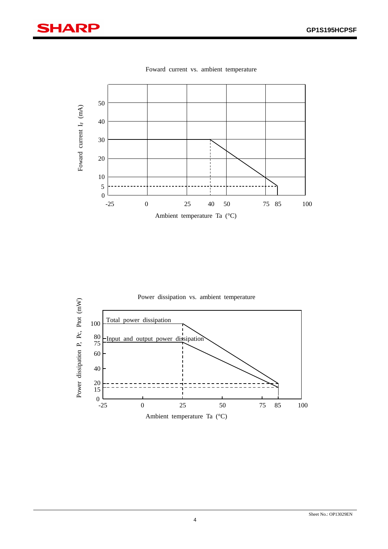



Foward current vs. ambient temperature

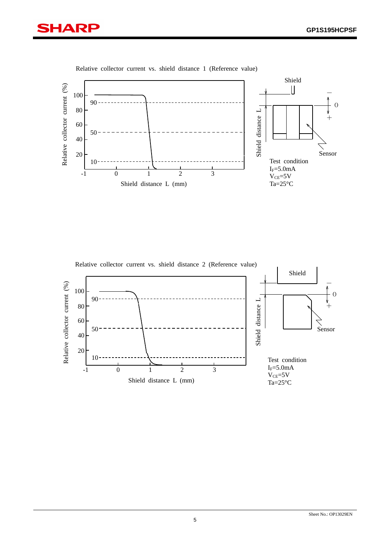



Relative collector current vs. shield distance 1 (Reference value)

Relative collector current vs. shield distance 2 (Reference value)

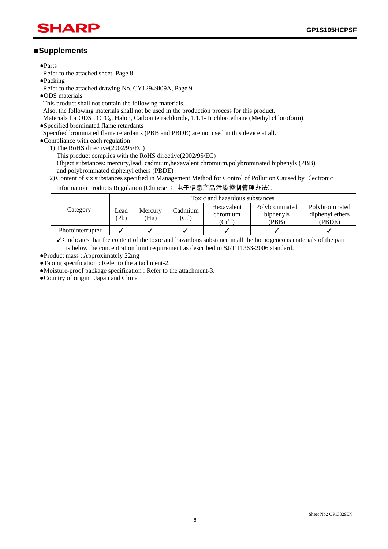## SHARP

## ■**Supplements**

●Parts

í

Refer to the attached sheet, Page 8.

●Packing

Refer to the attached drawing No. CY12949i09A, Page 9.

●ODS materials

This product shall not contain the following materials.

Also, the following materials shall not be used in the production process for this product.

Materials for ODS : CFC<sub>S</sub>, Halon, Carbon tetrachloride, 1.1.1-Trichloroethane (Methyl chloroform)

●Specified brominated flame retardants

Specified brominated flame retardants (PBB and PBDE) are not used in this device at all.

●Compliance with each regulation

- 1) The RoHS directive(2002/95/EC)
	- This product complies with the RoHS directive(2002/95/EC)

Object substances: mercury,lead, cadmium,hexavalent chromium,polybrominated biphenyls (PBB) and polybrominated diphenyl ethers (PBDE)

2) Content of six substances specified in Management Method for Control of Pollution Caused by Electronic

Information Products Regulation (Chinese : 电子信息产品污染控制管理办法).

|                  | Toxic and hazardous substances |                 |                 |                                       |                                      |                                             |  |  |
|------------------|--------------------------------|-----------------|-----------------|---------------------------------------|--------------------------------------|---------------------------------------------|--|--|
| Category         | Lead<br>(Pb)                   | Mercury<br>(Hg) | Cadmium<br>(Cd) | Hexavalent<br>chromium<br>$(Cr^{6+})$ | Polybrominated<br>biphenyls<br>(PBB) | Polybrominated<br>diphenyl ethers<br>(PBDE) |  |  |
| Photointerrupter |                                |                 |                 |                                       |                                      |                                             |  |  |

✓: indicates that the content of the toxic and hazardous substance in all the homogeneous materials of the part is below the concentration limit requirement as described in SJ/T 11363-2006 standard.

●Product mass : Approximately 22mg

●Taping specification : Refer to the attachment-2.

●Moisture-proof package specification : Refer to the attachment-3.

●Country of origin : Japan and China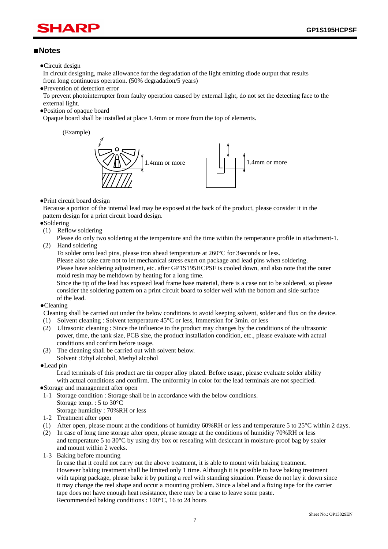## HAR

### ■**Notes**

í

●Circuit design

In circuit designing, make allowance for the degradation of the light emitting diode output that results from long continuous operation. (50% degradation/5 years)

●Prevention of detection error

To prevent photointerrupter from faulty operation caused by external light, do not set the detecting face to the external light.

●Position of opaque board

Opaque board shall be installed at place 1.4mm or more from the top of elements.



#### ●Print circuit board design

Because a portion of the internal lead may be exposed at the back of the product, please consider it in the pattern design for a print circuit board design.

- ●Soldering
- (1) Reflow soldering
- Please do only two soldering at the temperature and the time within the temperature profile in attachment-1. (2) Hand soldering

 To solder onto lead pins, please iron ahead temperature at 260°C for 3seconds or less. Please also take care not to let mechanical stress exert on package and lead pins when soldering. Please have soldering adjustment, etc. after GP1S195HCPSF is cooled down, and also note that the outer mold resin may be meltdown by heating for a long time.

 Since the tip of the lead has exposed lead frame base material, there is a case not to be soldered, so please consider the soldering pattern on a print circuit board to solder well with the bottom and side surface of the lead.

#### ●Cleaning

Cleaning shall be carried out under the below conditions to avoid keeping solvent, solder and flux on the device.

- (1) Solvent cleaning : Solvent temperature 45°C or less, Immersion for 3min. or less
- (2) Ultrasonic cleaning : Since the influence to the product may changes by the conditions of the ultrasonic power, time, the tank size, PCB size, the product installation condition, etc., please evaluate with actual conditions and confirm before usage.
- (3) The cleaning shall be carried out with solvent below. Solvent : Ethyl alcohol, Methyl alcohol

#### ●Lead pin

Lead terminals of this product are tin copper alloy plated. Before usage, please evaluate solder ability with actual conditions and confirm. The uniformity in color for the lead terminals are not specified.

- ●Storage and management after open
- 1-1 Storage condition : Storage shall be in accordance with the below conditions.

```
 Storage temp. : 5 to 30°C
```
- Storage humidity : 70%RH or less
- 1-2 Treatment after open
- (1) After open, please mount at the conditions of humidity  $60\%RH$  or less and temperature 5 to 25 $\degree$ C within 2 days.
- (2) In case of long time storage after open, please storage at the conditions of humidity 70%RH or less and temperature 5 to 30°C by using dry box or resealing with desiccant in moisture-proof bag by sealer and mount within 2 weeks.
- 1-3 Baking before mounting

 In case that it could not carry out the above treatment, it is able to mount with baking treatment. However baking treatment shall be limited only 1 time. Although it is possible to have baking treatment with taping package, please bake it by putting a reel with standing situation. Please do not lay it down since it may change the reel shape and occur a mounting problem. Since a label and a fixing tape for the carrier tape does not have enough heat resistance, there may be a case to leave some paste. Recommended baking conditions : 100°C, 16 to 24 hours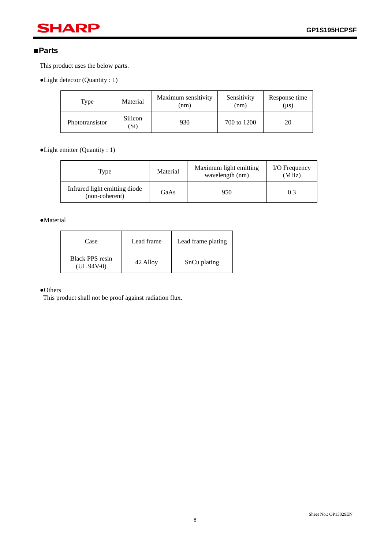## **SHARP**

## ■**Parts**

í

This product uses the below parts.

●Light detector (Quantity : 1)

| Type            | Material        | Maximum sensitivity<br>(nm) | Sensitivity<br>(nm) | Response time<br>$(\mu s)$ |
|-----------------|-----------------|-----------------------------|---------------------|----------------------------|
| Phototransistor | Silicon<br>(Si) | 930                         | 700 to 1200         | 20                         |

●Light emitter (Quantity : 1)

| Type                                            | Material | Maximum light emitting<br>wavelength (nm) | I/O Frequency<br>(MHz) |
|-------------------------------------------------|----------|-------------------------------------------|------------------------|
| Infrared light emitting diode<br>(non-coherent) | GaAs     | 950                                       | 0.3                    |

●Material

| Case                            | Lead frame | Lead frame plating |
|---------------------------------|------------|--------------------|
| Black PPS resin<br>$(UL 94V-0)$ | 42 Alloy   | SnCu plating       |

## ●Others

This product shall not be proof against radiation flux.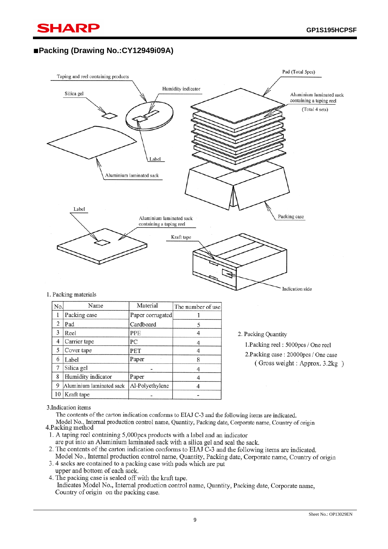í

## ■**Packing (Drawing No.:CY12949i09A)**



#### 1. Packing materials

| No. | Name                     | Material         | The number of use |
|-----|--------------------------|------------------|-------------------|
|     | Packing case             | Paper corrugated |                   |
| 2   | Pad                      | Cardboard        |                   |
| 3   | Reel                     | PPE              |                   |
| 4   | Carrier tape             | РC               |                   |
| 5   | Cover tape               | PET              |                   |
| 6   | Label                    | Paper            |                   |
| 7   | Silica gel               |                  |                   |
| 8   | Humidity indicator       | Paper            |                   |
| 9   | Aluminium laminated sack | Al-Polyethylene  |                   |
|     | 10   Kraft tape          |                  |                   |

2. Packing Quantity

 $\cdot$ 

1. Packing reel: 5000pcs / One reel

2. Packing case: 20000pcs / One case (Gross weight: Approx. 3.2kg)

3.Indication items

The contents of the carton indication conforms to EIAJ C-3 and the following items are indicated.

Model No., Internal production control name, Quantity, Packing date, Corporate name, Country of origin 4. Packing method

- 1. A taping reel containing 5,000pcs products with a label and an indicator are put into an Aluminium laminated sack with a silica gel and seal the sack.
- 2. The contents of the carton indication conforms to EIAJ C-3 and the following items are indicated. Model No., Internal production control name, Quantity, Packing date, Corporate name, Country of origin
- 3. 4 sacks are contained to a packing case with pads which are put upper and bottom of each sack.

4. The packing case is sealed off with the kraft tape. Indicates Model No., Internal production control name, Quantity, Packing date, Corporate name, Country of origin on the packing case.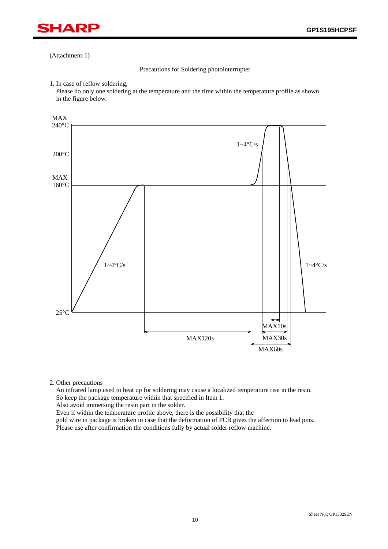

#### (Attachment-1)

Precautions for Soldering photointerrupter

1. In case of reflow soldering,

 Please do only one soldering at the temperature and the time within the temperature profile as shown in the figure below.



#### 2. Other precautions

 An infrared lamp used to heat up for soldering may cause a localized temperature rise in the resin. So keep the package temperature within that specified in Item 1.

Also avoid immersing the resin part in the solder.

Even if within the temperature profile above, there is the possibility that the

gold wire in package is broken in case that the deformation of PCB gives the affection to lead pins.

Please use after confirmation the conditions fully by actual solder reflow machine.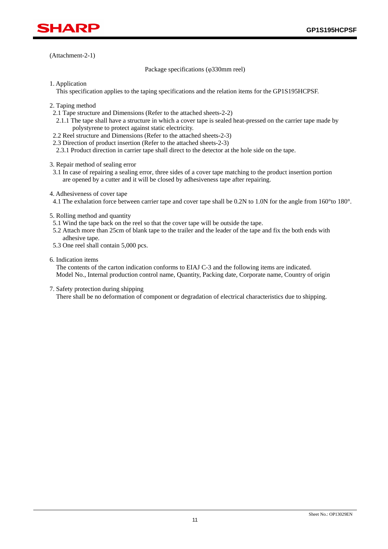

(Attachment-2-1)

Package specifications (φ330mm reel)

1. Application

This specification applies to the taping specifications and the relation items for the GP1S195HCPSF.

- 2. Taping method
- 2.1 Tape structure and Dimensions (Refer to the attached sheets-2-2)
- 2.1.1 The tape shall have a structure in which a cover tape is sealed heat-pressed on the carrier tape made by polystyrene to protect against static electricity.
- 2.2 Reel structure and Dimensions (Refer to the attached sheets-2-3)
- 2.3 Direction of product insertion (Refer to the attached sheets-2-3)
- 2.3.1 Product direction in carrier tape shall direct to the detector at the hole side on the tape.
- 3. Repair method of sealing error
- 3.1 In case of repairing a sealing error, three sides of a cover tape matching to the product insertion portion are opened by a cutter and it will be closed by adhesiveness tape after repairing.
- 4. Adhesiveness of cover tape
- 4.1 The exhalation force between carrier tape and cover tape shall be 0.2N to 1.0N for the angle from 160°to 180°.
- 5. Rolling method and quantity
- 5.1 Wind the tape back on the reel so that the cover tape will be outside the tape.
- 5.2 Attach more than 25cm of blank tape to the trailer and the leader of the tape and fix the both ends with adhesive tape.
- 5.3 One reel shall contain 5,000 pcs.
- 6. Indication items

 The contents of the carton indication conforms to EIAJ C-3 and the following items are indicated. Model No., Internal production control name, Quantity, Packing date, Corporate name, Country of origin

7. Safety protection during shipping

There shall be no deformation of component or degradation of electrical characteristics due to shipping.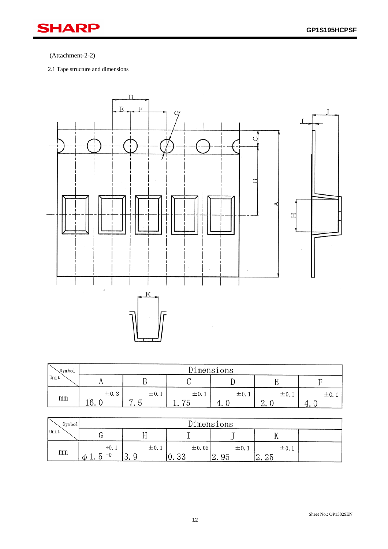## **SHARP** í

#### (Attachment-2-2)

2.1 Tape structure and dimensions



| Symbol | Dimensions     |           |                |           |           |                         |
|--------|----------------|-----------|----------------|-----------|-----------|-------------------------|
| Unit   | $\overline{A}$ |           |                |           |           |                         |
| mm     | $\pm$ 0.3      | $\pm$ 0.1 | $\pm 0.1$<br>— | $\pm 0.1$ | $\pm$ 0.1 | $\pm$ 0. $\overline{1}$ |
|        | $\mathsf{v}$ . |           | ιυ             | <b></b>   | ∼.        |                         |

| Symbol <sup>1</sup> | Dimensions          |                   |                           |                   |                                     |  |
|---------------------|---------------------|-------------------|---------------------------|-------------------|-------------------------------------|--|
| Unit                |                     |                   |                           |                   | <b>TT</b>                           |  |
| mm                  | $+0.1$<br>$-0$<br>Ø | $\pm 0.1$<br>∪. ∪ | $\pm 0.05$<br>ററ<br>∪. ∪∪ | $\pm$ 0.1<br>2.95 | $\pm 0.1$<br>りに<br>$\Omega$<br>4.40 |  |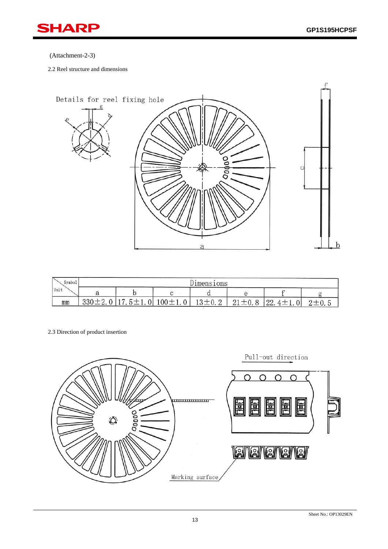

(Attachment-2-3)

2.2 Reel structure and dimensions



| Symbol | Dimensions   |               |                       |                                               |                         |     |                     |
|--------|--------------|---------------|-----------------------|-----------------------------------------------|-------------------------|-----|---------------------|
| Unit   |              |               |                       |                                               |                         |     |                     |
| mm     | $330 \pm 2.$ | $5 + i$<br>01 | $100 \pm 1$<br>$-L+U$ | $13 + 0$<br>Iυ<br>$\mathsf{v}\cdot\mathsf{u}$ | $+\alpha$<br>v. o<br>41 | 22. | $\Omega +$<br>.U. 5 |

2.3 Direction of product insertion

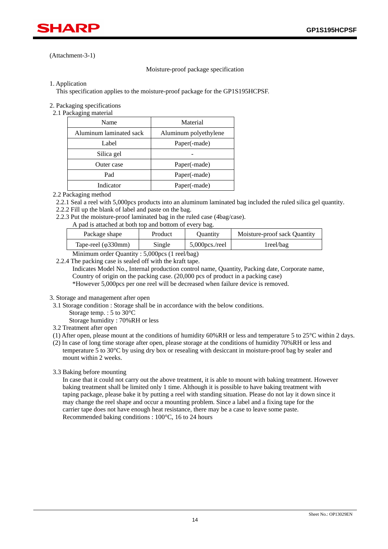

(Attachment-3-1)

#### Moisture-proof package specification

1. Application

This specification applies to the moisture-proof package for the GP1S195HCPSF.

2. Packaging specifications

2.1 Packaging material

| Name                    | Material              |
|-------------------------|-----------------------|
| Aluminum laminated sack | Aluminum polyethylene |
| Label                   | Paper(-made)          |
| Silica gel              |                       |
| Outer case              | Paper(-made)          |
| Pad                     | Paper(-made)          |
| Indicator               | Paper(-made)          |

2.2 Packaging method

2.2.1 Seal a reel with 5,000pcs products into an aluminum laminated bag included the ruled silica gel quantity.

2.2.2 Fill up the blank of label and paste on the bag.

2.2.3 Put the moisture-proof laminated bag in the ruled case (4bag/case).

A pad is attached at both top and bottom of every bag.

| Package shape               | Product     | <b>Ouantity</b>   | Moisture-proof sack Quantity |
|-----------------------------|-------------|-------------------|------------------------------|
| Tape-reel $(\varphi$ 330mm) | Single      | $5,000$ pcs./reel | lreel/bag                    |
| .                           | $\sim$ 0.00 |                   |                              |

 Minimum order Quantity : 5,000pcs (1 reel/bag) 2.2.4 The packing case is sealed off with the kraft tape.

Indicates Model No., Internal production control name, Quantity, Packing date, Corporate name,

Country of origin on the packing case. (20,000 pcs of product in a packing case)

\*However 5,000pcs per one reel will be decreased when failure device is removed.

3. Storage and management after open

3.1 Storage condition : Storage shall be in accordance with the below conditions.

Storage temp. : 5 to 30°C

Storage humidity : 70%RH or less

3.2 Treatment after open

(1) After open, please mount at the conditions of humidity 60%RH or less and temperature 5 to 25°C within 2 days.

 (2) In case of long time storage after open, please storage at the conditions of humidity 70%RH or less and temperature 5 to 30°C by using dry box or resealing with desiccant in moisture-proof bag by sealer and mount within 2 weeks.

3.3 Baking before mounting

 In case that it could not carry out the above treatment, it is able to mount with baking treatment. However baking treatment shall be limited only 1 time. Although it is possible to have baking treatment with taping package, please bake it by putting a reel with standing situation. Please do not lay it down since it may change the reel shape and occur a mounting problem. Since a label and a fixing tape for the carrier tape does not have enough heat resistance, there may be a case to leave some paste. Recommended baking conditions : 100°C, 16 to 24 hours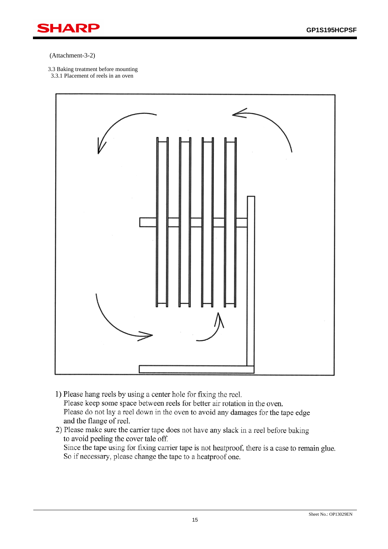

(Attachment-3-2)

3.3 Baking treatment before mounting

3.3.1 Placement of reels in an oven



- 1) Please hang reels by using a center hole for fixing the reel. Please keep some space between reels for better air rotation in the oven. Please do not lay a reel down in the oven to avoid any damages for the tape edge and the flange of reel.
- 2) Please make sure the carrier tape does not have any slack in a reel before baking to avoid peeling the cover tale off. Since the tape using for fixing carrier tape is not heatproof, there is a case to remain glue. So if necessary, please change the tape to a heatproof one.